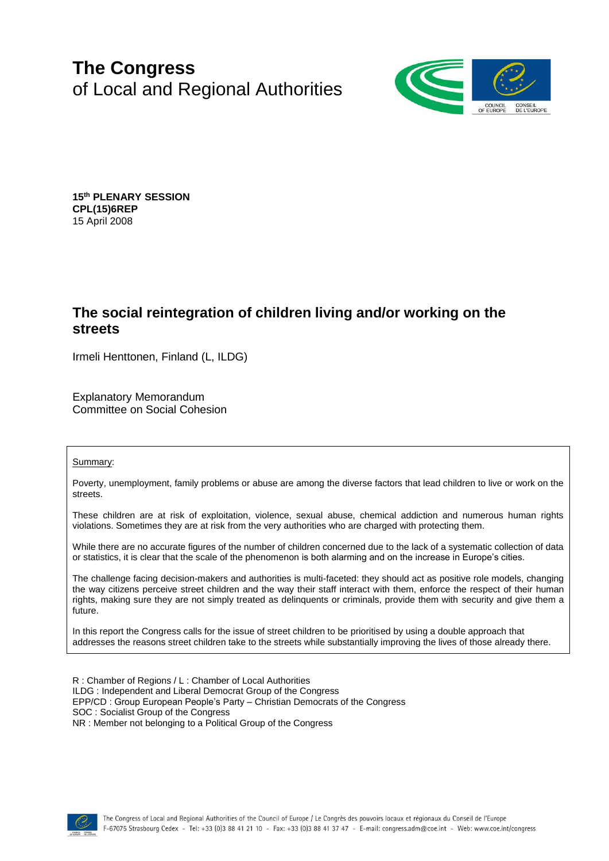# **The Congress** of Local and Regional Authorities



**15 th PLENARY SESSION CPL(15)6REP** 15 April 2008

# **The social reintegration of children living and/or working on the streets**

Irmeli Henttonen, Finland (L, ILDG)

Explanatory Memorandum Committee on Social Cohesion

#### Summary:

Poverty, unemployment, family problems or abuse are among the diverse factors that lead children to live or work on the streets.

These children are at risk of exploitation, violence, sexual abuse, chemical addiction and numerous human rights violations. Sometimes they are at risk from the very authorities who are charged with protecting them.

While there are no accurate figures of the number of children concerned due to the lack of a systematic collection of data or statistics, it is clear that the scale of the phenomenon is both alarming and on the increase in Europe's cities.

The challenge facing decision-makers and authorities is multi-faceted: they should act as positive role models, changing the way citizens perceive street children and the way their staff interact with them, enforce the respect of their human rights, making sure they are not simply treated as delinquents or criminals, provide them with security and give them a future.

In this report the Congress calls for the issue of street children to be prioritised by using a double approach that addresses the reasons street children take to the streets while substantially improving the lives of those already there.

R : Chamber of Regions / L : Chamber of Local Authorities ILDG : Independent and Liberal Democrat Group of the Congress EPP/CD : Group European People's Party – Christian Democrats of the Congress SOC : Socialist Group of the Congress NR : Member not belonging to a Political Group of the Congress

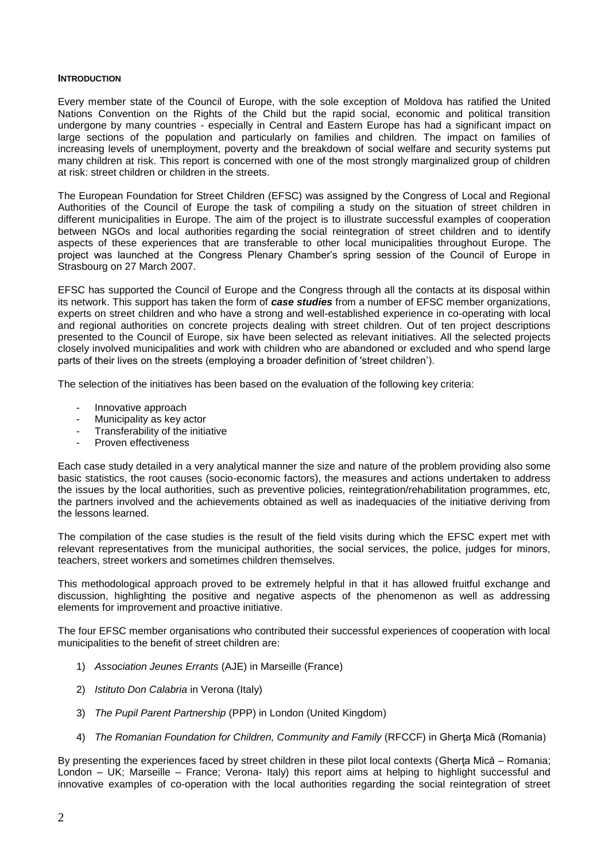#### **INTRODUCTION**

Every member state of the Council of Europe, with the sole exception of Moldova has ratified the United Nations Convention on the Rights of the Child but the rapid social, economic and political transition undergone by many countries - especially in Central and Eastern Europe has had a significant impact on large sections of the population and particularly on families and children. The impact on families of increasing levels of unemployment, poverty and the breakdown of social welfare and security systems put many children at risk. This report is concerned with one of the most strongly marginalized group of children at risk: street children or children in the streets.

The European Foundation for Street Children (EFSC) was assigned by the Congress of Local and Regional Authorities of the Council of Europe the task of compiling a study on the situation of street children in different municipalities in Europe. The aim of the project is to illustrate successful examples of cooperation between NGOs and local authorities regarding the social reintegration of street children and to identify aspects of these experiences that are transferable to other local municipalities throughout Europe. The project was launched at the Congress Plenary Chamber's spring session of the Council of Europe in Strasbourg on 27 March 2007.

EFSC has supported the Council of Europe and the Congress through all the contacts at its disposal within its network. This support has taken the form of *case studies* from a number of EFSC member organizations, experts on street children and who have a strong and well-established experience in co-operating with local and regional authorities on concrete projects dealing with street children. Out of ten project descriptions presented to the Council of Europe, six have been selected as relevant initiatives. All the selected projects closely involved municipalities and work with children who are abandoned or excluded and who spend large parts of their lives on the streets (employing a broader definition of 'street children').

The selection of the initiatives has been based on the evaluation of the following key criteria:

- Innovative approach
- Municipality as key actor
- Transferability of the initiative
- Proven effectiveness

Each case study detailed in a very analytical manner the size and nature of the problem providing also some basic statistics, the root causes (socio-economic factors), the measures and actions undertaken to address the issues by the local authorities, such as preventive policies, reintegration/rehabilitation programmes, etc, the partners involved and the achievements obtained as well as inadequacies of the initiative deriving from the lessons learned.

The compilation of the case studies is the result of the field visits during which the EFSC expert met with relevant representatives from the municipal authorities, the social services, the police, judges for minors, teachers, street workers and sometimes children themselves.

This methodological approach proved to be extremely helpful in that it has allowed fruitful exchange and discussion, highlighting the positive and negative aspects of the phenomenon as well as addressing elements for improvement and proactive initiative.

The four EFSC member organisations who contributed their successful experiences of cooperation with local municipalities to the benefit of street children are:

- 1) *Association Jeunes Errants* (AJE) in Marseille (France)
- 2) *Istituto Don Calabria* in Verona (Italy)
- 3) *The Pupil Parent Partnership* (PPP) in London (United Kingdom)
- 4) *The Romanian Foundation for Children, Community and Family* (RFCCF) in Gherta Mică (Romania)

By presenting the experiences faced by street children in these pilot local contexts (Gherta Mică – Romania; London – UK; Marseille – France; Verona- Italy) this report aims at helping to highlight successful and innovative examples of co-operation with the local authorities regarding the social reintegration of street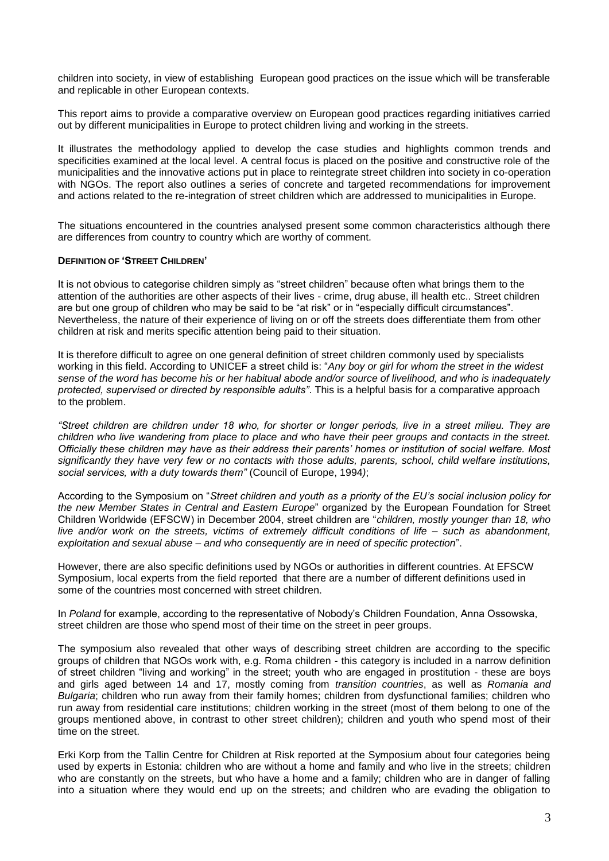children into society, in view of establishing European good practices on the issue which will be transferable and replicable in other European contexts.

This report aims to provide a comparative overview on European good practices regarding initiatives carried out by different municipalities in Europe to protect children living and working in the streets.

It illustrates the methodology applied to develop the case studies and highlights common trends and specificities examined at the local level. A central focus is placed on the positive and constructive role of the municipalities and the innovative actions put in place to reintegrate street children into society in co-operation with NGOs. The report also outlines a series of concrete and targeted recommendations for improvement and actions related to the re-integration of street children which are addressed to municipalities in Europe.

The situations encountered in the countries analysed present some common characteristics although there are differences from country to country which are worthy of comment.

#### **DEFINITION OF 'STREET CHILDREN'**

It is not obvious to categorise children simply as "street children" because often what brings them to the attention of the authorities are other aspects of their lives - crime, drug abuse, ill health etc.. Street children are but one group of children who may be said to be "at risk" or in "especially difficult circumstances". Nevertheless, the nature of their experience of living on or off the streets does differentiate them from other children at risk and merits specific attention being paid to their situation.

It is therefore difficult to agree on one general definition of street children commonly used by specialists working in this field. According to UNICEF a street child is: "*Any boy or girl for whom the street in the widest sense of the word has become his or her habitual abode and/or source of livelihood, and who is inadequately protected, supervised or directed by responsible adults"*. This is a helpful basis for a comparative approach to the problem.

*"Street children are children under 18 who, for shorter or longer periods, live in a street milieu. They are children who live wandering from place to place and who have their peer groups and contacts in the street. Officially these children may have as their address their parents' homes or institution of social welfare. Most significantly they have very few or no contacts with those adults, parents, school, child welfare institutions, social services, with a duty towards them"* (Council of Europe, 1994*)*;

According to the Symposium on "*Street children and youth as a priority of the EU's social inclusion policy for the new Member States in Central and Eastern Europe*" organized by the European Foundation for Street Children Worldwide (EFSCW) in December 2004, street children are "*children, mostly younger than 18, who live and/or work on the streets, victims of extremely difficult conditions of life – such as abandonment, exploitation and sexual abuse – and who consequently are in need of specific protection*".

However, there are also specific definitions used by NGOs or authorities in different countries. At EFSCW Symposium, local experts from the field reported that there are a number of different definitions used in some of the countries most concerned with street children.

In *Poland* for example, according to the representative of Nobody's Children Foundation, Anna Ossowska, street children are those who spend most of their time on the street in peer groups.

The symposium also revealed that other ways of describing street children are according to the specific groups of children that NGOs work with, e.g. Roma children - this category is included in a narrow definition of street children "living and working" in the street; youth who are engaged in prostitution - these are boys and girls aged between 14 and 17, mostly coming from *transition countries*, as well as *Romania and Bulgaria*; children who run away from their family homes; children from dysfunctional families; children who run away from residential care institutions; children working in the street (most of them belong to one of the groups mentioned above, in contrast to other street children); children and youth who spend most of their time on the street.

Erki Korp from the Tallin Centre for Children at Risk reported at the Symposium about four categories being used by experts in Estonia: children who are without a home and family and who live in the streets; children who are constantly on the streets, but who have a home and a family; children who are in danger of falling into a situation where they would end up on the streets; and children who are evading the obligation to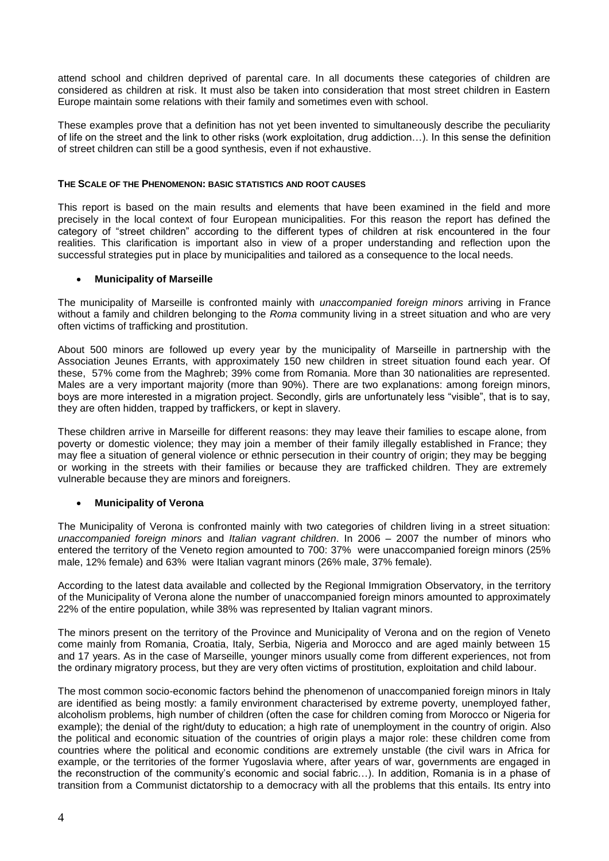attend school and children deprived of parental care. In all documents these categories of children are considered as children at risk. It must also be taken into consideration that most street children in Eastern Europe maintain some relations with their family and sometimes even with school.

These examples prove that a definition has not yet been invented to simultaneously describe the peculiarity of life on the street and the link to other risks (work exploitation, drug addiction…). In this sense the definition of street children can still be a good synthesis, even if not exhaustive.

#### **THE SCALE OF THE PHENOMENON: BASIC STATISTICS AND ROOT CAUSES**

This report is based on the main results and elements that have been examined in the field and more precisely in the local context of four European municipalities. For this reason the report has defined the category of "street children" according to the different types of children at risk encountered in the four realities. This clarification is important also in view of a proper understanding and reflection upon the successful strategies put in place by municipalities and tailored as a consequence to the local needs.

#### **Municipality of Marseille**

The municipality of Marseille is confronted mainly with *unaccompanied foreign minors* arriving in France without a family and children belonging to the *Roma* community living in a street situation and who are very often victims of trafficking and prostitution.

About 500 minors are followed up every year by the municipality of Marseille in partnership with the Association Jeunes Errants, with approximately 150 new children in street situation found each year. Of these, 57% come from the Maghreb; 39% come from Romania. More than 30 nationalities are represented. Males are a very important majority (more than 90%). There are two explanations: among foreign minors, boys are more interested in a migration project. Secondly, girls are unfortunately less "visible", that is to say, they are often hidden, trapped by traffickers, or kept in slavery.

These children arrive in Marseille for different reasons: they may leave their families to escape alone, from poverty or domestic violence; they may join a member of their family illegally established in France; they may flee a situation of general violence or ethnic persecution in their country of origin; they may be begging or working in the streets with their families or because they are trafficked children. They are extremely vulnerable because they are minors and foreigners.

# **Municipality of Verona**

The Municipality of Verona is confronted mainly with two categories of children living in a street situation: *unaccompanied foreign minors* and *Italian vagrant children*. In 2006 – 2007 the number of minors who entered the territory of the Veneto region amounted to 700: 37% were unaccompanied foreign minors (25% male, 12% female) and 63% were Italian vagrant minors (26% male, 37% female).

According to the latest data available and collected by the Regional Immigration Observatory, in the territory of the Municipality of Verona alone the number of unaccompanied foreign minors amounted to approximately 22% of the entire population, while 38% was represented by Italian vagrant minors.

The minors present on the territory of the Province and Municipality of Verona and on the region of Veneto come mainly from Romania, Croatia, Italy, Serbia, Nigeria and Morocco and are aged mainly between 15 and 17 years. As in the case of Marseille, younger minors usually come from different experiences, not from the ordinary migratory process, but they are very often victims of prostitution, exploitation and child labour.

The most common socio-economic factors behind the phenomenon of unaccompanied foreign minors in Italy are identified as being mostly: a family environment characterised by extreme poverty, unemployed father, alcoholism problems, high number of children (often the case for children coming from Morocco or Nigeria for example); the denial of the right/duty to education; a high rate of unemployment in the country of origin. Also the political and economic situation of the countries of origin plays a major role: these children come from countries where the political and economic conditions are extremely unstable (the civil wars in Africa for example, or the territories of the former Yugoslavia where, after years of war, governments are engaged in the reconstruction of the community's economic and social fabric…). In addition, Romania is in a phase of transition from a Communist dictatorship to a democracy with all the problems that this entails. Its entry into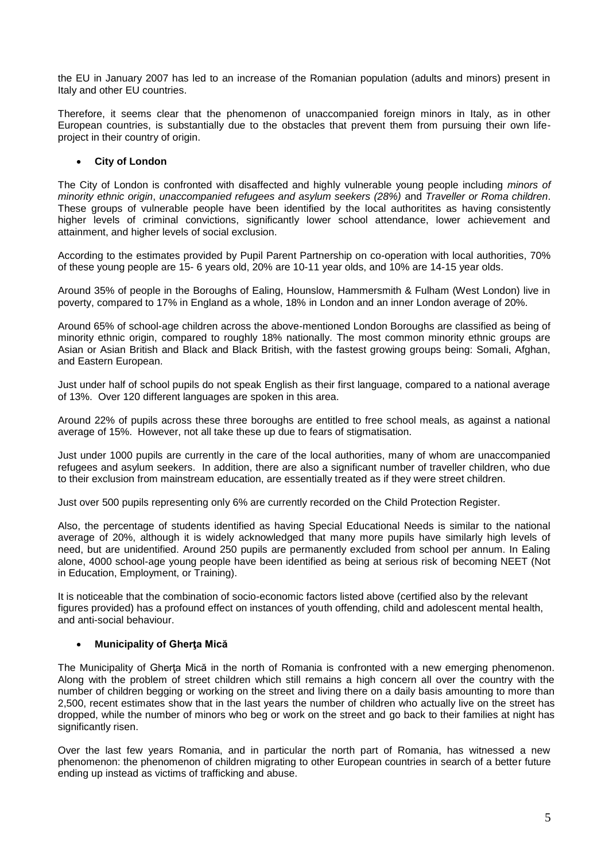the EU in January 2007 has led to an increase of the Romanian population (adults and minors) present in Italy and other EU countries.

Therefore, it seems clear that the phenomenon of unaccompanied foreign minors in Italy, as in other European countries, is substantially due to the obstacles that prevent them from pursuing their own lifeproject in their country of origin.

# **City of London**

The City of London is confronted with disaffected and highly vulnerable young people including *minors of minority ethnic origin*, *unaccompanied refugees and asylum seekers (28%)* and *Traveller or Roma children*. These groups of vulnerable people have been identified by the local authoritites as having consistently higher levels of criminal convictions, significantly lower school attendance, lower achievement and attainment, and higher levels of social exclusion.

According to the estimates provided by Pupil Parent Partnership on co-operation with local authorities, 70% of these young people are 15- 6 years old, 20% are 10-11 year olds, and 10% are 14-15 year olds.

Around 35% of people in the Boroughs of Ealing, Hounslow, Hammersmith & Fulham (West London) live in poverty, compared to 17% in England as a whole, 18% in London and an inner London average of 20%.

Around 65% of school-age children across the above-mentioned London Boroughs are classified as being of minority ethnic origin, compared to roughly 18% nationally. The most common minority ethnic groups are Asian or Asian British and Black and Black British, with the fastest growing groups being: Somali, Afghan, and Eastern European.

Just under half of school pupils do not speak English as their first language, compared to a national average of 13%. Over 120 different languages are spoken in this area.

Around 22% of pupils across these three boroughs are entitled to free school meals, as against a national average of 15%. However, not all take these up due to fears of stigmatisation.

Just under 1000 pupils are currently in the care of the local authorities, many of whom are unaccompanied refugees and asylum seekers. In addition, there are also a significant number of traveller children, who due to their exclusion from mainstream education, are essentially treated as if they were street children.

Just over 500 pupils representing only 6% are currently recorded on the Child Protection Register.

Also, the percentage of students identified as having Special Educational Needs is similar to the national average of 20%, although it is widely acknowledged that many more pupils have similarly high levels of need, but are unidentified. Around 250 pupils are permanently excluded from school per annum. In Ealing alone, 4000 school-age young people have been identified as being at serious risk of becoming NEET (Not in Education, Employment, or Training).

It is noticeable that the combination of socio-economic factors listed above (certified also by the relevant figures provided) has a profound effect on instances of youth offending, child and adolescent mental health, and anti-social behaviour.

# **Municipality of Gherţa Mică**

The Municipality of Gherta Mică in the north of Romania is confronted with a new emerging phenomenon. Along with the problem of street children which still remains a high concern all over the country with the number of children begging or working on the street and living there on a daily basis amounting to more than 2,500, recent estimates show that in the last years the number of children who actually live on the street has dropped, while the number of minors who beg or work on the street and go back to their families at night has significantly risen.

Over the last few years Romania, and in particular the north part of Romania, has witnessed a new phenomenon: the phenomenon of children migrating to other European countries in search of a better future ending up instead as victims of trafficking and abuse.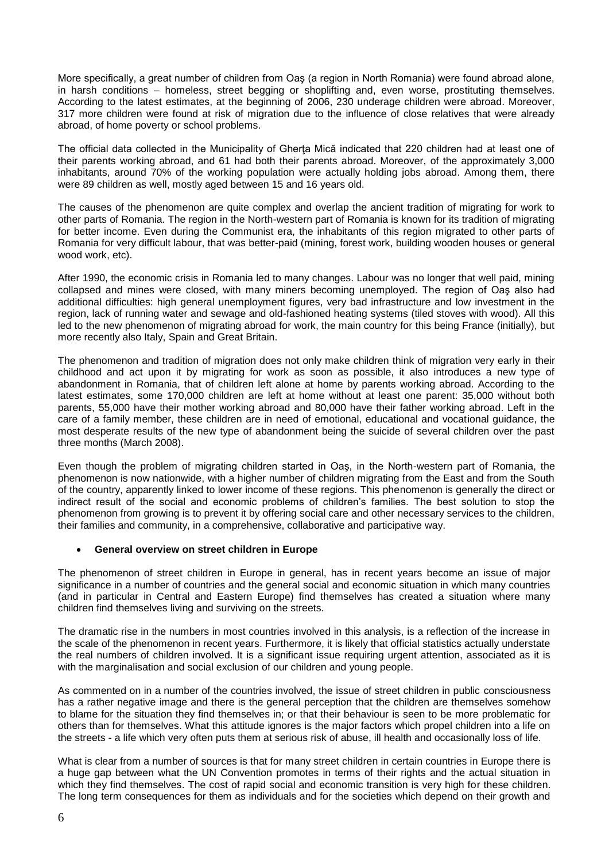More specifically, a great number of children from Oaş (a region in North Romania) were found abroad alone, in harsh conditions – homeless, street begging or shoplifting and, even worse, prostituting themselves. According to the latest estimates, at the beginning of 2006, 230 underage children were abroad. Moreover, 317 more children were found at risk of migration due to the influence of close relatives that were already abroad, of home poverty or school problems.

The official data collected in the Municipality of Gherta Mică indicated that 220 children had at least one of their parents working abroad, and 61 had both their parents abroad. Moreover, of the approximately 3,000 inhabitants, around 70% of the working population were actually holding jobs abroad. Among them, there were 89 children as well, mostly aged between 15 and 16 years old.

The causes of the phenomenon are quite complex and overlap the ancient tradition of migrating for work to other parts of Romania. The region in the North-western part of Romania is known for its tradition of migrating for better income. Even during the Communist era, the inhabitants of this region migrated to other parts of Romania for very difficult labour, that was better-paid (mining, forest work, building wooden houses or general wood work, etc).

After 1990, the economic crisis in Romania led to many changes. Labour was no longer that well paid, mining collapsed and mines were closed, with many miners becoming unemployed. The region of Oaş also had additional difficulties: high general unemployment figures, very bad infrastructure and low investment in the region, lack of running water and sewage and old-fashioned heating systems (tiled stoves with wood). All this led to the new phenomenon of migrating abroad for work, the main country for this being France (initially), but more recently also Italy, Spain and Great Britain.

The phenomenon and tradition of migration does not only make children think of migration very early in their childhood and act upon it by migrating for work as soon as possible, it also introduces a new type of abandonment in Romania, that of children left alone at home by parents working abroad. According to the latest estimates, some 170,000 children are left at home without at least one parent: 35,000 without both parents, 55,000 have their mother working abroad and 80,000 have their father working abroad. Left in the care of a family member, these children are in need of emotional, educational and vocational guidance, the most desperate results of the new type of abandonment being the suicide of several children over the past three months (March 2008).

Even though the problem of migrating children started in Oaş, in the North-western part of Romania, the phenomenon is now nationwide, with a higher number of children migrating from the East and from the South of the country, apparently linked to lower income of these regions. This phenomenon is generally the direct or indirect result of the social and economic problems of children's families. The best solution to stop the phenomenon from growing is to prevent it by offering social care and other necessary services to the children, their families and community, in a comprehensive, collaborative and participative way.

# **General overview on street children in Europe**

The phenomenon of street children in Europe in general, has in recent years become an issue of major significance in a number of countries and the general social and economic situation in which many countries (and in particular in Central and Eastern Europe) find themselves has created a situation where many children find themselves living and surviving on the streets.

The dramatic rise in the numbers in most countries involved in this analysis, is a reflection of the increase in the scale of the phenomenon in recent years. Furthermore, it is likely that official statistics actually understate the real numbers of children involved. It is a significant issue requiring urgent attention, associated as it is with the marginalisation and social exclusion of our children and young people.

As commented on in a number of the countries involved, the issue of street children in public consciousness has a rather negative image and there is the general perception that the children are themselves somehow to blame for the situation they find themselves in; or that their behaviour is seen to be more problematic for others than for themselves. What this attitude ignores is the major factors which propel children into a life on the streets - a life which very often puts them at serious risk of abuse, ill health and occasionally loss of life.

What is clear from a number of sources is that for many street children in certain countries in Europe there is a huge gap between what the UN Convention promotes in terms of their rights and the actual situation in which they find themselves. The cost of rapid social and economic transition is very high for these children. The long term consequences for them as individuals and for the societies which depend on their growth and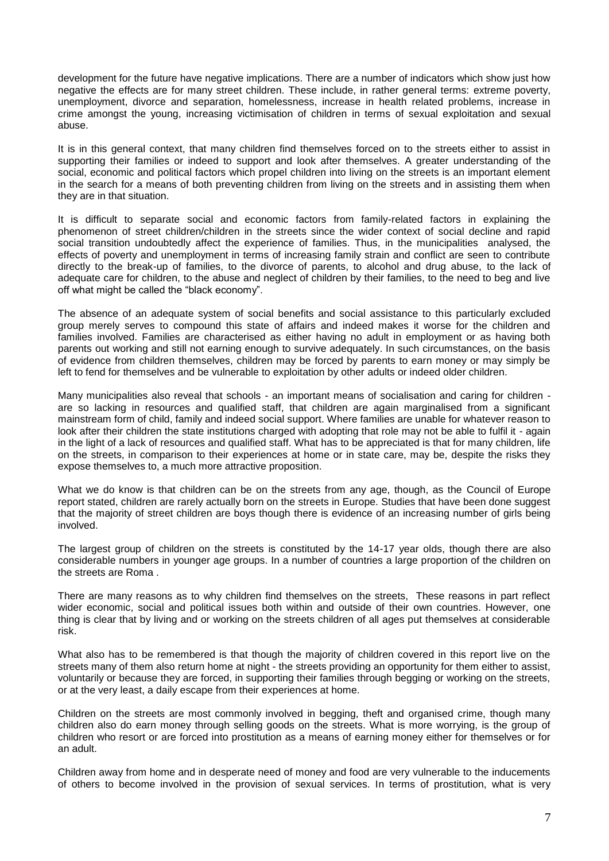development for the future have negative implications. There are a number of indicators which show just how negative the effects are for many street children. These include, in rather general terms: extreme poverty, unemployment, divorce and separation, homelessness, increase in health related problems, increase in crime amongst the young, increasing victimisation of children in terms of sexual exploitation and sexual abuse.

It is in this general context, that many children find themselves forced on to the streets either to assist in supporting their families or indeed to support and look after themselves. A greater understanding of the social, economic and political factors which propel children into living on the streets is an important element in the search for a means of both preventing children from living on the streets and in assisting them when they are in that situation.

It is difficult to separate social and economic factors from family-related factors in explaining the phenomenon of street children/children in the streets since the wider context of social decline and rapid social transition undoubtedly affect the experience of families. Thus, in the municipalities analysed, the effects of poverty and unemployment in terms of increasing family strain and conflict are seen to contribute directly to the break-up of families, to the divorce of parents, to alcohol and drug abuse, to the lack of adequate care for children, to the abuse and neglect of children by their families, to the need to beg and live off what might be called the "black economy".

The absence of an adequate system of social benefits and social assistance to this particularly excluded group merely serves to compound this state of affairs and indeed makes it worse for the children and families involved. Families are characterised as either having no adult in employment or as having both parents out working and still not earning enough to survive adequately. In such circumstances, on the basis of evidence from children themselves, children may be forced by parents to earn money or may simply be left to fend for themselves and be vulnerable to exploitation by other adults or indeed older children.

Many municipalities also reveal that schools - an important means of socialisation and caring for children are so lacking in resources and qualified staff, that children are again marginalised from a significant mainstream form of child, family and indeed social support. Where families are unable for whatever reason to look after their children the state institutions charged with adopting that role may not be able to fulfil it - again in the light of a lack of resources and qualified staff. What has to be appreciated is that for many children, life on the streets, in comparison to their experiences at home or in state care, may be, despite the risks they expose themselves to, a much more attractive proposition.

What we do know is that children can be on the streets from any age, though, as the Council of Europe report stated, children are rarely actually born on the streets in Europe. Studies that have been done suggest that the majority of street children are boys though there is evidence of an increasing number of girls being involved.

The largest group of children on the streets is constituted by the 14-17 year olds, though there are also considerable numbers in younger age groups. In a number of countries a large proportion of the children on the streets are Roma .

There are many reasons as to why children find themselves on the streets, These reasons in part reflect wider economic, social and political issues both within and outside of their own countries. However, one thing is clear that by living and or working on the streets children of all ages put themselves at considerable risk.

What also has to be remembered is that though the majority of children covered in this report live on the streets many of them also return home at night - the streets providing an opportunity for them either to assist, voluntarily or because they are forced, in supporting their families through begging or working on the streets, or at the very least, a daily escape from their experiences at home.

Children on the streets are most commonly involved in begging, theft and organised crime, though many children also do earn money through selling goods on the streets. What is more worrying, is the group of children who resort or are forced into prostitution as a means of earning money either for themselves or for an adult.

Children away from home and in desperate need of money and food are very vulnerable to the inducements of others to become involved in the provision of sexual services. In terms of prostitution, what is very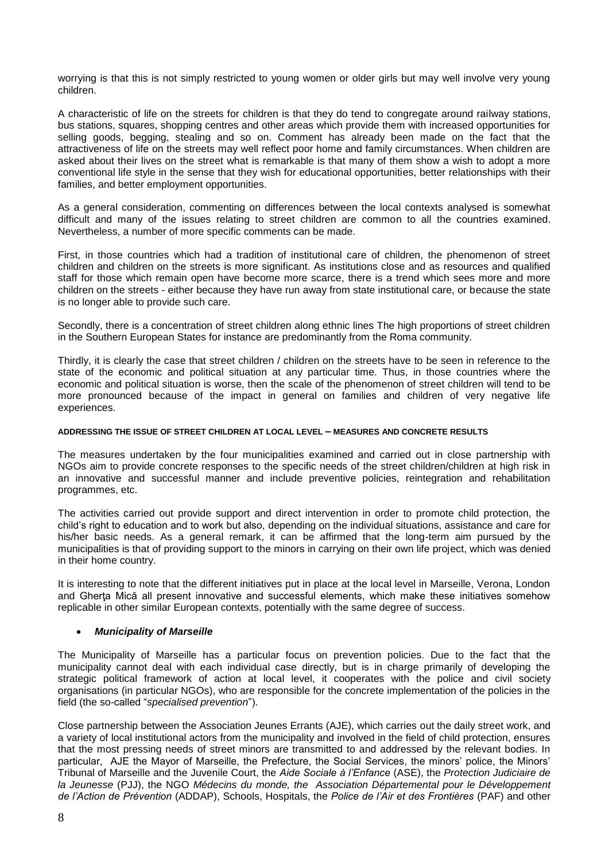worrying is that this is not simply restricted to young women or older girls but may well involve very young children.

A characteristic of life on the streets for children is that they do tend to congregate around railway stations, bus stations, squares, shopping centres and other areas which provide them with increased opportunities for selling goods, begging, stealing and so on. Comment has already been made on the fact that the attractiveness of life on the streets may well reflect poor home and family circumstances. When children are asked about their lives on the street what is remarkable is that many of them show a wish to adopt a more conventional life style in the sense that they wish for educational opportunities, better relationships with their families, and better employment opportunities.

As a general consideration, commenting on differences between the local contexts analysed is somewhat difficult and many of the issues relating to street children are common to all the countries examined. Nevertheless, a number of more specific comments can be made.

First, in those countries which had a tradition of institutional care of children, the phenomenon of street children and children on the streets is more significant. As institutions close and as resources and qualified staff for those which remain open have become more scarce, there is a trend which sees more and more children on the streets - either because they have run away from state institutional care, or because the state is no longer able to provide such care.

Secondly, there is a concentration of street children along ethnic lines The high proportions of street children in the Southern European States for instance are predominantly from the Roma community.

Thirdly, it is clearly the case that street children / children on the streets have to be seen in reference to the state of the economic and political situation at any particular time. Thus, in those countries where the economic and political situation is worse, then the scale of the phenomenon of street children will tend to be more pronounced because of the impact in general on families and children of very negative life experiences.

#### **ADDRESSING THE ISSUE OF STREET CHILDREN AT LOCAL LEVEL – MEASURES AND CONCRETE RESULTS**

The measures undertaken by the four municipalities examined and carried out in close partnership with NGOs aim to provide concrete responses to the specific needs of the street children/children at high risk in an innovative and successful manner and include preventive policies, reintegration and rehabilitation programmes, etc.

The activities carried out provide support and direct intervention in order to promote child protection, the child's right to education and to work but also, depending on the individual situations, assistance and care for his/her basic needs. As a general remark, it can be affirmed that the long-term aim pursued by the municipalities is that of providing support to the minors in carrying on their own life project, which was denied in their home country.

It is interesting to note that the different initiatives put in place at the local level in Marseille, Verona, London and Gherta Mică all present innovative and successful elements, which make these initiatives somehow replicable in other similar European contexts, potentially with the same degree of success.

#### *Municipality of Marseille*

The Municipality of Marseille has a particular focus on prevention policies. Due to the fact that the municipality cannot deal with each individual case directly, but is in charge primarily of developing the strategic political framework of action at local level, it cooperates with the police and civil society organisations (in particular NGOs), who are responsible for the concrete implementation of the policies in the field (the so-called "*specialised prevention*").

Close partnership between the Association Jeunes Errants (AJE), which carries out the daily street work, and a variety of local institutional actors from the municipality and involved in the field of child protection, ensures that the most pressing needs of street minors are transmitted to and addressed by the relevant bodies. In particular, AJE the Mayor of Marseille, the Prefecture, the Social Services, the minors' police, the Minors' Tribunal of Marseille and the Juvenile Court, the *Aide Sociale à l'Enfance* (ASE), the *Protection Judiciaire de la Jeunesse* (PJJ), the NGO *Médecins du monde, the Association Départemental pour le Développement de l'Action de Prévention* (ADDAP), Schools, Hospitals, the *Police de l'Air et des Frontières* (PAF) and other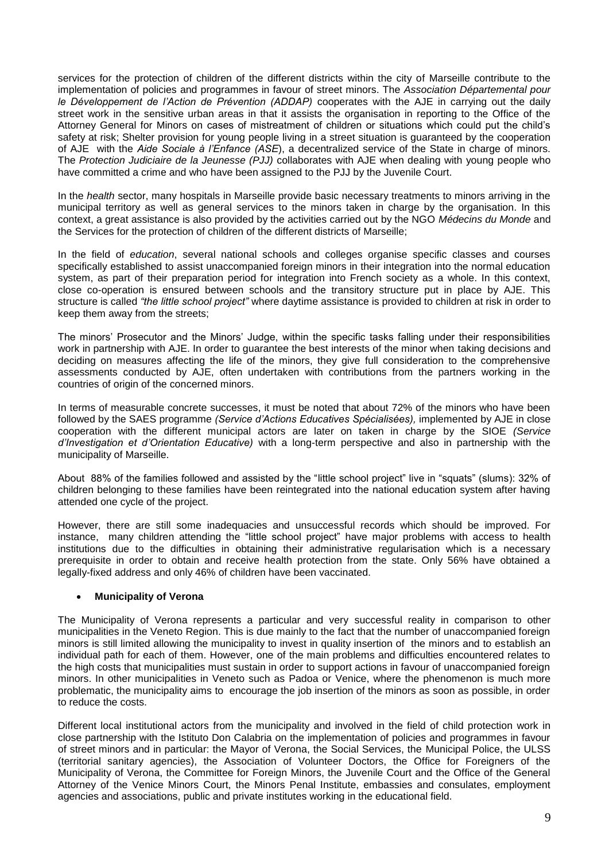services for the protection of children of the different districts within the city of Marseille contribute to the implementation of policies and programmes in favour of street minors. The *Association Départemental pour le Développement de l'Action de Prévention (ADDAP)* cooperates with the AJE in carrying out the daily street work in the sensitive urban areas in that it assists the organisation in reporting to the Office of the Attorney General for Minors on cases of mistreatment of children or situations which could put the child's safety at risk; Shelter provision for young people living in a street situation is guaranteed by the cooperation of AJE with the *Aide Sociale à l'Enfance (ASE*), a decentralized service of the State in charge of minors. The *Protection Judiciaire de la Jeunesse (PJJ)* collaborates with AJE when dealing with young people who have committed a crime and who have been assigned to the PJJ by the Juvenile Court.

In the *health* sector, many hospitals in Marseille provide basic necessary treatments to minors arriving in the municipal territory as well as general services to the minors taken in charge by the organisation. In this context, a great assistance is also provided by the activities carried out by the NGO *Médecins du Monde* and the Services for the protection of children of the different districts of Marseille;

In the field of *education*, several national schools and colleges organise specific classes and courses specifically established to assist unaccompanied foreign minors in their integration into the normal education system, as part of their preparation period for integration into French society as a whole. In this context, close co-operation is ensured between schools and the transitory structure put in place by AJE. This structure is called *"the little school project"* where daytime assistance is provided to children at risk in order to keep them away from the streets;

The minors' Prosecutor and the Minors' Judge, within the specific tasks falling under their responsibilities work in partnership with AJE. In order to guarantee the best interests of the minor when taking decisions and deciding on measures affecting the life of the minors, they give full consideration to the comprehensive assessments conducted by AJE, often undertaken with contributions from the partners working in the countries of origin of the concerned minors.

In terms of measurable concrete successes, it must be noted that about 72% of the minors who have been followed by the SAES programme *(Service d'Actions Educatives Spécialisées),* implemented by AJE in close cooperation with the different municipal actors are later on taken in charge by the SIOE *(Service d'Investigation et d'Orientation Educative)* with a long-term perspective and also in partnership with the municipality of Marseille.

About 88% of the families followed and assisted by the "little school project" live in "squats" (slums): 32% of children belonging to these families have been reintegrated into the national education system after having attended one cycle of the project.

However, there are still some inadequacies and unsuccessful records which should be improved. For instance, many children attending the "little school project" have major problems with access to health institutions due to the difficulties in obtaining their administrative regularisation which is a necessary prerequisite in order to obtain and receive health protection from the state. Only 56% have obtained a legally-fixed address and only 46% of children have been vaccinated.

# **Municipality of Verona**

The Municipality of Verona represents a particular and very successful reality in comparison to other municipalities in the Veneto Region. This is due mainly to the fact that the number of unaccompanied foreign minors is still limited allowing the municipality to invest in quality insertion of the minors and to establish an individual path for each of them. However, one of the main problems and difficulties encountered relates to the high costs that municipalities must sustain in order to support actions in favour of unaccompanied foreign minors. In other municipalities in Veneto such as Padoa or Venice, where the phenomenon is much more problematic, the municipality aims to encourage the job insertion of the minors as soon as possible, in order to reduce the costs.

Different local institutional actors from the municipality and involved in the field of child protection work in close partnership with the Istituto Don Calabria on the implementation of policies and programmes in favour of street minors and in particular: the Mayor of Verona, the Social Services, the Municipal Police, the ULSS (territorial sanitary agencies), the Association of Volunteer Doctors, the Office for Foreigners of the Municipality of Verona, the Committee for Foreign Minors, the Juvenile Court and the Office of the General Attorney of the Venice Minors Court, the Minors Penal Institute, embassies and consulates, employment agencies and associations, public and private institutes working in the educational field.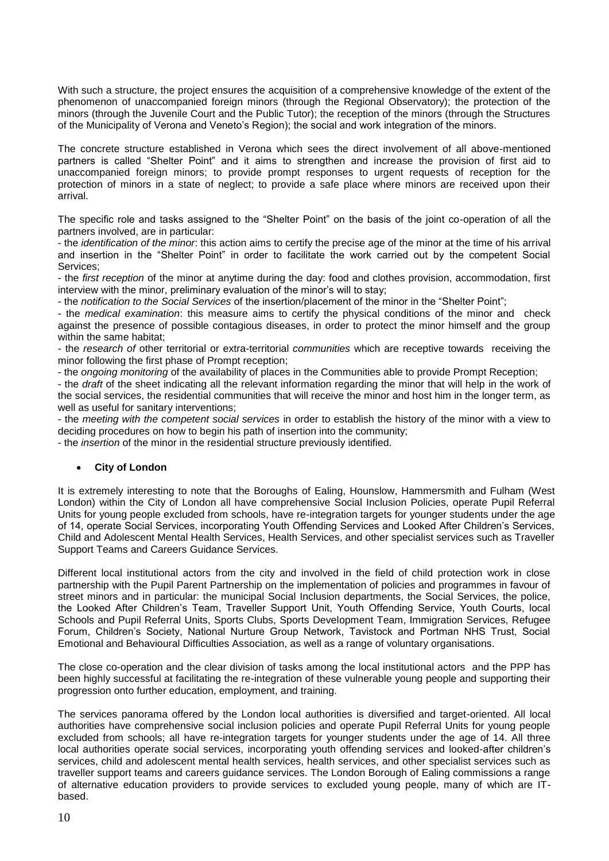With such a structure, the project ensures the acquisition of a comprehensive knowledge of the extent of the phenomenon of unaccompanied foreign minors (through the Regional Observatory); the protection of the minors (through the Juvenile Court and the Public Tutor); the reception of the minors (through the Structures of the Municipality of Verona and Veneto's Region); the social and work integration of the minors.

The concrete structure established in Verona which sees the direct involvement of all above-mentioned partners is called "Shelter Point" and it aims to strengthen and increase the provision of first aid to unaccompanied foreign minors; to provide prompt responses to urgent requests of reception for the protection of minors in a state of neglect; to provide a safe place where minors are received upon their arrival.

The specific role and tasks assigned to the "Shelter Point" on the basis of the joint co-operation of all the partners involved, are in particular:

- the *identification of the minor*: this action aims to certify the precise age of the minor at the time of his arrival and insertion in the "Shelter Point" in order to facilitate the work carried out by the competent Social Services;

- the *first reception* of the minor at anytime during the day: food and clothes provision, accommodation, first interview with the minor, preliminary evaluation of the minor's will to stay;

- the *notification to the Social Services* of the insertion/placement of the minor in the "Shelter Point";

- the *medical examination*: this measure aims to certify the physical conditions of the minor and check against the presence of possible contagious diseases, in order to protect the minor himself and the group within the same habitat:

- the *research of* other territorial or extra-territorial *communities* which are receptive towards receiving the minor following the first phase of Prompt reception;

- the *ongoing monitoring* of the availability of places in the Communities able to provide Prompt Reception;

- the *draft* of the sheet indicating all the relevant information regarding the minor that will help in the work of the social services, the residential communities that will receive the minor and host him in the longer term, as well as useful for sanitary interventions;

- the *meeting with the competent social services* in order to establish the history of the minor with a view to deciding procedures on how to begin his path of insertion into the community;

- the *insertion* of the minor in the residential structure previously identified.

# **City of London**

It is extremely interesting to note that the Boroughs of Ealing, Hounslow, Hammersmith and Fulham (West London) within the City of London all have comprehensive Social Inclusion Policies, operate Pupil Referral Units for young people excluded from schools, have re-integration targets for younger students under the age of 14, operate Social Services, incorporating Youth Offending Services and Looked After Children's Services, Child and Adolescent Mental Health Services, Health Services, and other specialist services such as Traveller Support Teams and Careers Guidance Services.

Different local institutional actors from the city and involved in the field of child protection work in close partnership with the Pupil Parent Partnership on the implementation of policies and programmes in favour of street minors and in particular: the municipal Social Inclusion departments, the Social Services, the police, the Looked After Children's Team, Traveller Support Unit, Youth Offending Service, Youth Courts, local Schools and Pupil Referral Units, Sports Clubs, Sports Development Team, Immigration Services, Refugee Forum, Children's Society, National Nurture Group Network, Tavistock and Portman NHS Trust, Social Emotional and Behavioural Difficulties Association, as well as a range of voluntary organisations.

The close co-operation and the clear division of tasks among the local institutional actors and the PPP has been highly successful at facilitating the re-integration of these vulnerable young people and supporting their progression onto further education, employment, and training.

The services panorama offered by the London local authorities is diversified and target-oriented. All local authorities have comprehensive social inclusion policies and operate Pupil Referral Units for young people excluded from schools; all have re-integration targets for younger students under the age of 14. All three local authorities operate social services, incorporating youth offending services and looked-after children's services, child and adolescent mental health services, health services, and other specialist services such as traveller support teams and careers guidance services. The London Borough of Ealing commissions a range of alternative education providers to provide services to excluded young people, many of which are ITbased.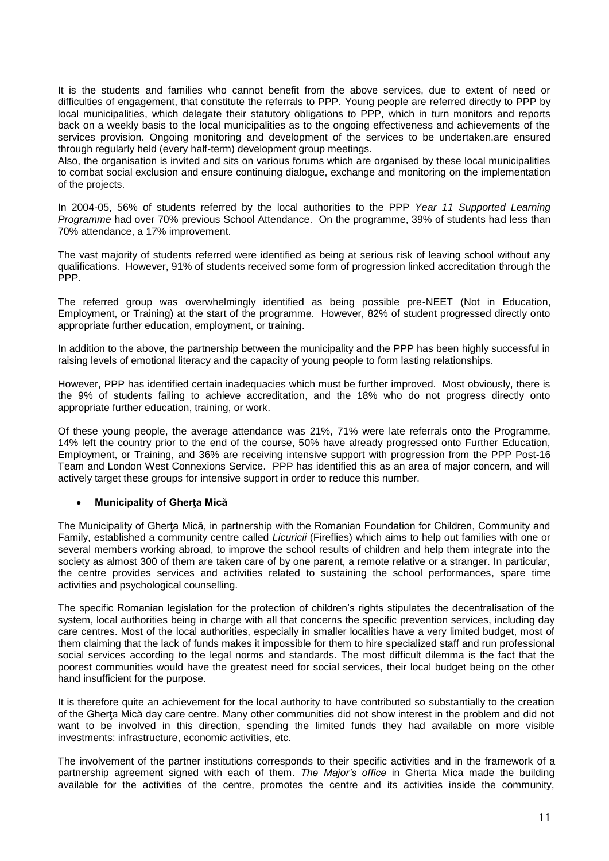It is the students and families who cannot benefit from the above services, due to extent of need or difficulties of engagement, that constitute the referrals to PPP. Young people are referred directly to PPP by local municipalities, which delegate their statutory obligations to PPP, which in turn monitors and reports back on a weekly basis to the local municipalities as to the ongoing effectiveness and achievements of the services provision. Ongoing monitoring and development of the services to be undertaken.are ensured through regularly held (every half-term) development group meetings.

Also, the organisation is invited and sits on various forums which are organised by these local municipalities to combat social exclusion and ensure continuing dialogue, exchange and monitoring on the implementation of the projects.

In 2004-05, 56% of students referred by the local authorities to the PPP *Year 11 Supported Learning Programme* had over 70% previous School Attendance. On the programme, 39% of students had less than 70% attendance, a 17% improvement.

The vast majority of students referred were identified as being at serious risk of leaving school without any qualifications. However, 91% of students received some form of progression linked accreditation through the PPP.

The referred group was overwhelmingly identified as being possible pre-NEET (Not in Education, Employment, or Training) at the start of the programme. However, 82% of student progressed directly onto appropriate further education, employment, or training.

In addition to the above, the partnership between the municipality and the PPP has been highly successful in raising levels of emotional literacy and the capacity of young people to form lasting relationships.

However, PPP has identified certain inadequacies which must be further improved. Most obviously, there is the 9% of students failing to achieve accreditation, and the 18% who do not progress directly onto appropriate further education, training, or work.

Of these young people, the average attendance was 21%, 71% were late referrals onto the Programme, 14% left the country prior to the end of the course, 50% have already progressed onto Further Education, Employment, or Training, and 36% are receiving intensive support with progression from the PPP Post-16 Team and London West Connexions Service. PPP has identified this as an area of major concern, and will actively target these groups for intensive support in order to reduce this number.

# **Municipality of Gherţa Mică**

The Municipality of Gherţa Mică, in partnership with the Romanian Foundation for Children, Community and Family, established a community centre called *Licuricii* (Fireflies) which aims to help out families with one or several members working abroad, to improve the school results of children and help them integrate into the society as almost 300 of them are taken care of by one parent, a remote relative or a stranger. In particular, the centre provides services and activities related to sustaining the school performances, spare time activities and psychological counselling.

The specific Romanian legislation for the protection of children's rights stipulates the decentralisation of the system, local authorities being in charge with all that concerns the specific prevention services, including day care centres. Most of the local authorities, especially in smaller localities have a very limited budget, most of them claiming that the lack of funds makes it impossible for them to hire specialized staff and run professional social services according to the legal norms and standards. The most difficult dilemma is the fact that the poorest communities would have the greatest need for social services, their local budget being on the other hand insufficient for the purpose.

It is therefore quite an achievement for the local authority to have contributed so substantially to the creation of the Gherta Mică day care centre. Many other communities did not show interest in the problem and did not want to be involved in this direction, spending the limited funds they had available on more visible investments: infrastructure, economic activities, etc.

The involvement of the partner institutions corresponds to their specific activities and in the framework of a partnership agreement signed with each of them. *The Major's office* in Gherta Mica made the building available for the activities of the centre, promotes the centre and its activities inside the community,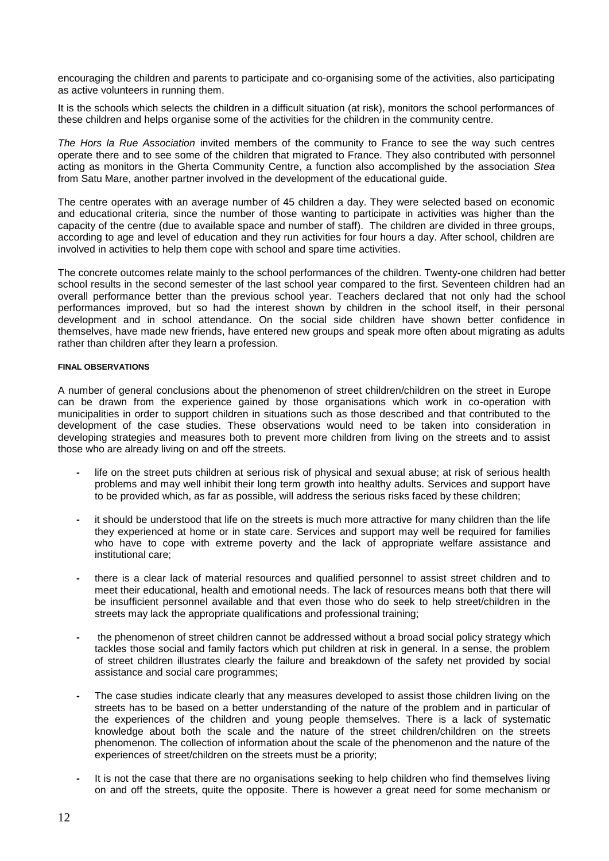encouraging the children and parents to participate and co-organising some of the activities, also participating as active volunteers in running them.

It is the schools which selects the children in a difficult situation (at risk), monitors the school performances of these children and helps organise some of the activities for the children in the community centre.

*The Hors la Rue Association* invited members of the community to France to see the way such centres operate there and to see some of the children that migrated to France. They also contributed with personnel acting as monitors in the Gherta Community Centre, a function also accomplished by the association *Stea* from Satu Mare, another partner involved in the development of the educational guide.

The centre operates with an average number of 45 children a day. They were selected based on economic and educational criteria, since the number of those wanting to participate in activities was higher than the capacity of the centre (due to available space and number of staff). The children are divided in three groups, according to age and level of education and they run activities for four hours a day. After school, children are involved in activities to help them cope with school and spare time activities.

The concrete outcomes relate mainly to the school performances of the children. Twenty-one children had better school results in the second semester of the last school year compared to the first. Seventeen children had an overall performance better than the previous school year. Teachers declared that not only had the school performances improved, but so had the interest shown by children in the school itself, in their personal development and in school attendance. On the social side children have shown better confidence in themselves, have made new friends, have entered new groups and speak more often about migrating as adults rather than children after they learn a profession.

#### **FINAL OBSERVATIONS**

A number of general conclusions about the phenomenon of street children/children on the street in Europe can be drawn from the experience gained by those organisations which work in co-operation with municipalities in order to support children in situations such as those described and that contributed to the development of the case studies. These observations would need to be taken into consideration in developing strategies and measures both to prevent more children from living on the streets and to assist those who are already living on and off the streets.

- **-** life on the street puts children at serious risk of physical and sexual abuse; at risk of serious health problems and may well inhibit their long term growth into healthy adults. Services and support have to be provided which, as far as possible, will address the serious risks faced by these children;
- **-** it should be understood that life on the streets is much more attractive for many children than the life they experienced at home or in state care. Services and support may well be required for families who have to cope with extreme poverty and the lack of appropriate welfare assistance and institutional care;
- **-** there is a clear lack of material resources and qualified personnel to assist street children and to meet their educational, health and emotional needs. The lack of resources means both that there will be insufficient personnel available and that even those who do seek to help street/children in the streets may lack the appropriate qualifications and professional training;
- **-** the phenomenon of street children cannot be addressed without a broad social policy strategy which tackles those social and family factors which put children at risk in general. In a sense, the problem of street children illustrates clearly the failure and breakdown of the safety net provided by social assistance and social care programmes;
- **-** The case studies indicate clearly that any measures developed to assist those children living on the streets has to be based on a better understanding of the nature of the problem and in particular of the experiences of the children and young people themselves. There is a lack of systematic knowledge about both the scale and the nature of the street children/children on the streets phenomenon. The collection of information about the scale of the phenomenon and the nature of the experiences of street/children on the streets must be a priority;
- **-** It is not the case that there are no organisations seeking to help children who find themselves living on and off the streets, quite the opposite. There is however a great need for some mechanism or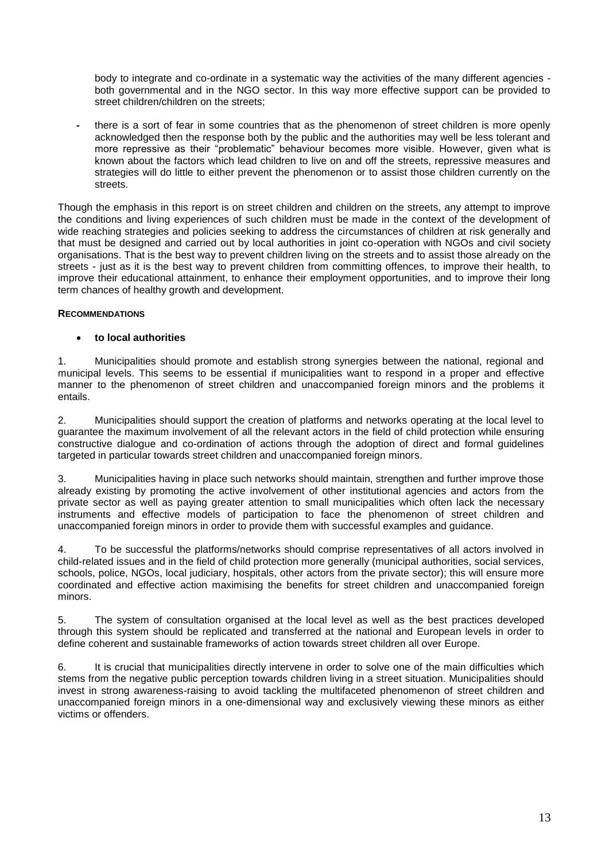body to integrate and co-ordinate in a systematic way the activities of the many different agencies both governmental and in the NGO sector. In this way more effective support can be provided to street children/children on the streets;

**-** there is a sort of fear in some countries that as the phenomenon of street children is more openly acknowledged then the response both by the public and the authorities may well be less tolerant and more repressive as their "problematic" behaviour becomes more visible. However, given what is known about the factors which lead children to live on and off the streets, repressive measures and strategies will do little to either prevent the phenomenon or to assist those children currently on the streets.

Though the emphasis in this report is on street children and children on the streets, any attempt to improve the conditions and living experiences of such children must be made in the context of the development of wide reaching strategies and policies seeking to address the circumstances of children at risk generally and that must be designed and carried out by local authorities in joint co-operation with NGOs and civil society organisations. That is the best way to prevent children living on the streets and to assist those already on the streets - just as it is the best way to prevent children from committing offences, to improve their health, to improve their educational attainment, to enhance their employment opportunities, and to improve their long term chances of healthy growth and development.

# **RECOMMENDATIONS**

# **to local authorities**

1. Municipalities should promote and establish strong synergies between the national, regional and municipal levels. This seems to be essential if municipalities want to respond in a proper and effective manner to the phenomenon of street children and unaccompanied foreign minors and the problems it entails.

2. Municipalities should support the creation of platforms and networks operating at the local level to guarantee the maximum involvement of all the relevant actors in the field of child protection while ensuring constructive dialogue and co-ordination of actions through the adoption of direct and formal guidelines targeted in particular towards street children and unaccompanied foreign minors.

3. Municipalities having in place such networks should maintain, strengthen and further improve those already existing by promoting the active involvement of other institutional agencies and actors from the private sector as well as paying greater attention to small municipalities which often lack the necessary instruments and effective models of participation to face the phenomenon of street children and unaccompanied foreign minors in order to provide them with successful examples and guidance.

4. To be successful the platforms/networks should comprise representatives of all actors involved in child-related issues and in the field of child protection more generally (municipal authorities, social services, schools, police, NGOs, local judiciary, hospitals, other actors from the private sector); this will ensure more coordinated and effective action maximising the benefits for street children and unaccompanied foreign minors.

5. The system of consultation organised at the local level as well as the best practices developed through this system should be replicated and transferred at the national and European levels in order to define coherent and sustainable frameworks of action towards street children all over Europe.

6. It is crucial that municipalities directly intervene in order to solve one of the main difficulties which stems from the negative public perception towards children living in a street situation. Municipalities should invest in strong awareness-raising to avoid tackling the multifaceted phenomenon of street children and unaccompanied foreign minors in a one-dimensional way and exclusively viewing these minors as either victims or offenders.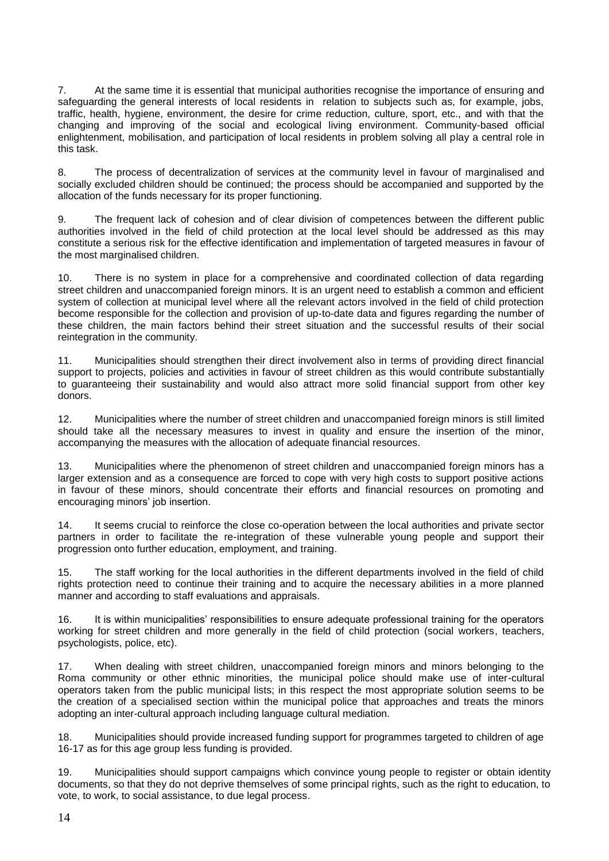7. At the same time it is essential that municipal authorities recognise the importance of ensuring and safeguarding the general interests of local residents in relation to subjects such as, for example, jobs, traffic, health, hygiene, environment, the desire for crime reduction, culture, sport, etc., and with that the changing and improving of the social and ecological living environment. Community-based official enlightenment, mobilisation, and participation of local residents in problem solving all play a central role in this task.

8. The process of decentralization of services at the community level in favour of marginalised and socially excluded children should be continued; the process should be accompanied and supported by the allocation of the funds necessary for its proper functioning.

9. The frequent lack of cohesion and of clear division of competences between the different public authorities involved in the field of child protection at the local level should be addressed as this may constitute a serious risk for the effective identification and implementation of targeted measures in favour of the most marginalised children.

10. There is no system in place for a comprehensive and coordinated collection of data regarding street children and unaccompanied foreign minors. It is an urgent need to establish a common and efficient system of collection at municipal level where all the relevant actors involved in the field of child protection become responsible for the collection and provision of up-to-date data and figures regarding the number of these children, the main factors behind their street situation and the successful results of their social reintegration in the community.

11. Municipalities should strengthen their direct involvement also in terms of providing direct financial support to projects, policies and activities in favour of street children as this would contribute substantially to guaranteeing their sustainability and would also attract more solid financial support from other key donors.

12. Municipalities where the number of street children and unaccompanied foreign minors is still limited should take all the necessary measures to invest in quality and ensure the insertion of the minor. accompanying the measures with the allocation of adequate financial resources.

13. Municipalities where the phenomenon of street children and unaccompanied foreign minors has a larger extension and as a consequence are forced to cope with very high costs to support positive actions in favour of these minors, should concentrate their efforts and financial resources on promoting and encouraging minors' job insertion.

14. It seems crucial to reinforce the close co-operation between the local authorities and private sector partners in order to facilitate the re-integration of these vulnerable young people and support their progression onto further education, employment, and training.

15. The staff working for the local authorities in the different departments involved in the field of child rights protection need to continue their training and to acquire the necessary abilities in a more planned manner and according to staff evaluations and appraisals.

16. It is within municipalities' responsibilities to ensure adequate professional training for the operators working for street children and more generally in the field of child protection (social workers, teachers, psychologists, police, etc).

17. When dealing with street children, unaccompanied foreign minors and minors belonging to the Roma community or other ethnic minorities, the municipal police should make use of inter-cultural operators taken from the public municipal lists; in this respect the most appropriate solution seems to be the creation of a specialised section within the municipal police that approaches and treats the minors adopting an inter-cultural approach including language cultural mediation.

18. Municipalities should provide increased funding support for programmes targeted to children of age 16-17 as for this age group less funding is provided.

19. Municipalities should support campaigns which convince young people to register or obtain identity documents, so that they do not deprive themselves of some principal rights, such as the right to education, to vote, to work, to social assistance, to due legal process.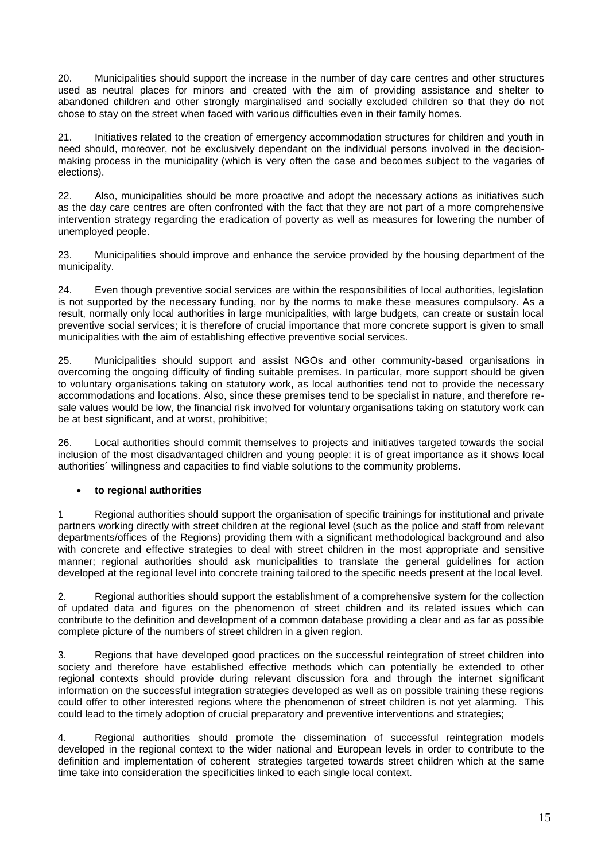20. Municipalities should support the increase in the number of day care centres and other structures used as neutral places for minors and created with the aim of providing assistance and shelter to abandoned children and other strongly marginalised and socially excluded children so that they do not chose to stay on the street when faced with various difficulties even in their family homes.

21. Initiatives related to the creation of emergency accommodation structures for children and youth in need should, moreover, not be exclusively dependant on the individual persons involved in the decisionmaking process in the municipality (which is very often the case and becomes subject to the vagaries of elections).

22. Also, municipalities should be more proactive and adopt the necessary actions as initiatives such as the day care centres are often confronted with the fact that they are not part of a more comprehensive intervention strategy regarding the eradication of poverty as well as measures for lowering the number of unemployed people.

23. Municipalities should improve and enhance the service provided by the housing department of the municipality.

24. Even though preventive social services are within the responsibilities of local authorities, legislation is not supported by the necessary funding, nor by the norms to make these measures compulsory. As a result, normally only local authorities in large municipalities, with large budgets, can create or sustain local preventive social services; it is therefore of crucial importance that more concrete support is given to small municipalities with the aim of establishing effective preventive social services.

25. Municipalities should support and assist NGOs and other community-based organisations in overcoming the ongoing difficulty of finding suitable premises. In particular, more support should be given to voluntary organisations taking on statutory work, as local authorities tend not to provide the necessary accommodations and locations. Also, since these premises tend to be specialist in nature, and therefore resale values would be low, the financial risk involved for voluntary organisations taking on statutory work can be at best significant, and at worst, prohibitive;

26. Local authorities should commit themselves to projects and initiatives targeted towards the social inclusion of the most disadvantaged children and young people: it is of great importance as it shows local authorities´ willingness and capacities to find viable solutions to the community problems.

# **to regional authorities**

1 Regional authorities should support the organisation of specific trainings for institutional and private partners working directly with street children at the regional level (such as the police and staff from relevant departments/offices of the Regions) providing them with a significant methodological background and also with concrete and effective strategies to deal with street children in the most appropriate and sensitive manner; regional authorities should ask municipalities to translate the general guidelines for action developed at the regional level into concrete training tailored to the specific needs present at the local level.

2. Regional authorities should support the establishment of a comprehensive system for the collection of updated data and figures on the phenomenon of street children and its related issues which can contribute to the definition and development of a common database providing a clear and as far as possible complete picture of the numbers of street children in a given region.

3. Regions that have developed good practices on the successful reintegration of street children into society and therefore have established effective methods which can potentially be extended to other regional contexts should provide during relevant discussion fora and through the internet significant information on the successful integration strategies developed as well as on possible training these regions could offer to other interested regions where the phenomenon of street children is not yet alarming. This could lead to the timely adoption of crucial preparatory and preventive interventions and strategies;

4. Regional authorities should promote the dissemination of successful reintegration models developed in the regional context to the wider national and European levels in order to contribute to the definition and implementation of coherent strategies targeted towards street children which at the same time take into consideration the specificities linked to each single local context.